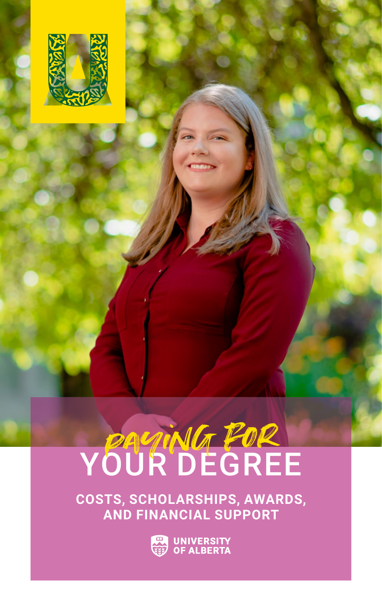

# YOUR DEGREE

**COSTS, SCHOLARSHIPS, AWARDS, AND FINANCIAL SUPPORT**

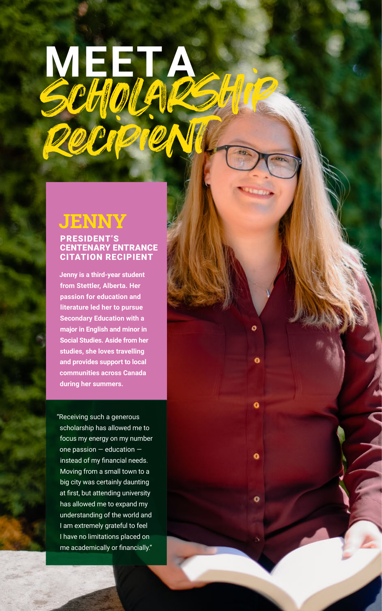## MEETA recipient

## **JENNY**

#### PRESIDENT'S CENTENARY ENTRANCE CITATION RECIPIENT

**Jenny is a third-year student from Stettler, Alberta. Her passion for education and literature led her to pursue Secondary Education with a major in English and minor in Social Studies. Aside from her studies, she loves travelling and provides support to local communities across Canada during her summers.** 

Ō

O

٥

"Receiving such a generous scholarship has allowed me to focus my energy on my number one passion — education instead of my financial needs. Moving from a small town to a big city was certainly daunting at first, but attending university has allowed me to expand my understanding of the world and I am extremely grateful to feel I have no limitations placed on me academically or financially."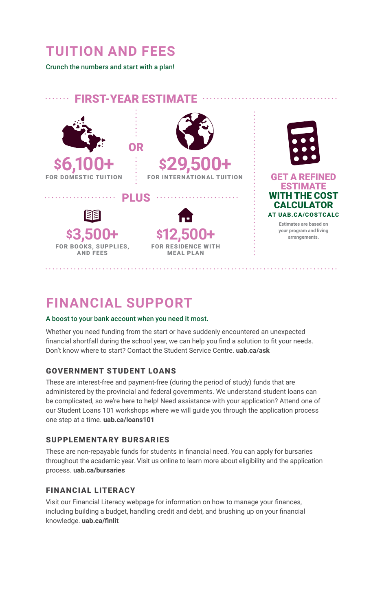## **TUITION AND FEES**

Crunch the numbers and start with a plan!



## **FINANCIAL SUPPORT**

#### A boost to your bank account when you need it most.

Whether you need funding from the start or have suddenly encountered an unexpected financial shortfall during the school year, we can help you find a solution to fit your needs. Don't know where to start? Contact the Student Service Centre. **uab.ca/ask**

#### GOVERNMENT STUDENT LOANS

These are interest-free and payment-free (during the period of study) funds that are administered by the provincial and federal governments. We understand student loans can be complicated, so we're here to help! Need assistance with your application? Attend one of our Student Loans 101 workshops where we will guide you through the application process one step at a time. **uab.ca/loans101**

#### SUPPLEMENTARY BURSARIES

These are non-repayable funds for students in financial need. You can apply for bursaries throughout the academic year. Visit us online to learn more about eligibility and the application process. **uab.ca/bursaries**

#### FINANCIAL LITERACY

Visit our Financial Literacy webpage for information on how to manage your finances, including building a budget, handling credit and debt, and brushing up on your financial knowledge. **uab.ca/finlit**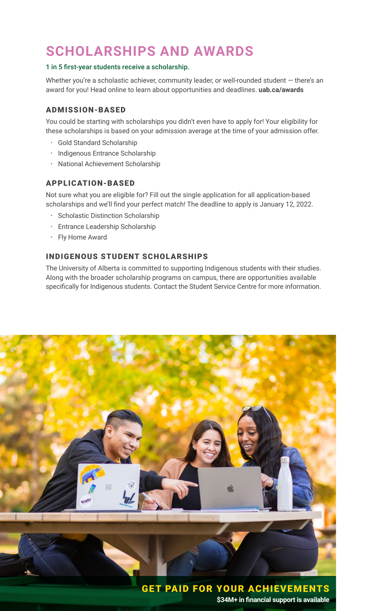## **SCHOLARSHIPS AND AWARDS**

#### 1 in 5 first-year students receive a scholarship.

Whether you're a scholastic achiever, community leader, or well-rounded student  $-$  there's an award for you! Head online to learn about opportunities and deadlines. **uab.ca/awards** 

#### ADMISSION-BASED

You could be starting with scholarships you didn't even have to apply for! Your eligibility for these scholarships is based on your admission average at the time of your admission offer.

- Gold Standard Scholarship
- Indigenous Entrance Scholarship
- National Achievement Scholarship

#### APPLICATION-BASED

Not sure what you are eligible for? Fill out the single application for all application-based scholarships and we'll find your perfect match! The deadline to apply is January 12, 2022.

- Scholastic Distinction Scholarship
- Entrance Leadership Scholarship
- Fly Home Award

#### INDIGENOUS STUDENT SCHOLARSHIPS

The University of Alberta is committed to supporting Indigenous students with their studies. Along with the broader scholarship programs on campus, there are opportunities available specifically for Indigenous students. Contact the Student Service Centre for more information.